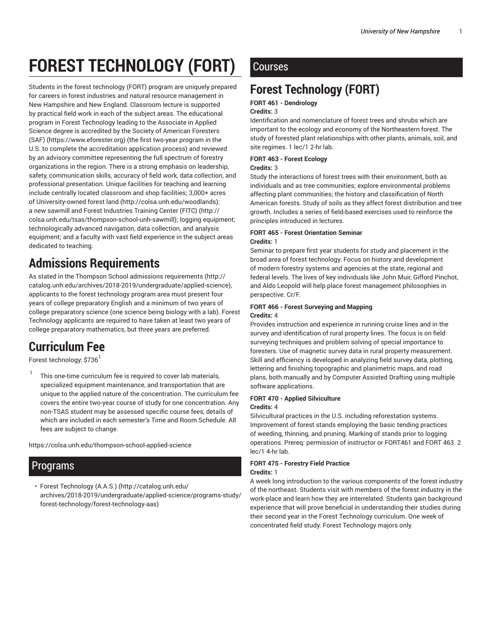# **FOREST TECHNOLOGY (FORT)**

Students in the forest technology (FORT) program are uniquely prepared for careers in forest industries and natural resource management in New Hampshire and New England. Classroom lecture is supported by practical field work in each of the subject areas. The educational program in Forest Technology leading to the Associate in Applied Science degree is accredited by the Society of American Foresters (SAF) (https://www.eforester.org) (the first two-year program in the U.S. to complete the accreditation application process) and reviewed by an advisory committee representing the full spectrum of forestry organizations in the region. There is a strong emphasis on leadership, safety, communication skills, accuracy of field work, data collection, and professional presentation. Unique facilities for teaching and learning include centrally located classroom and shop facilities; 3,000+ acres of University-owned forest land (http://colsa.unh.edu/woodlands); a new sawmill and Forest Industries Training Center (FITC) (http:// colsa.unh.edu/tsas/thompson-school-unh-sawmill); logging equipment; technologically advanced navigation, data collection, and analysis equipment; and a faculty with vast field experience in the subject areas dedicated to teaching.

## **Admissions Requirements**

As stated in the Thompson School admissions requirements (http:// catalog.unh.edu/archives/2018-2019/undergraduate/applied-science), applicants to the forest technology program area must present four years of college preparatory English and a minimum of two years of college preparatory science (one science being biology with a lab). Forest Technology applicants are required to have taken at least two years of college preparatory mathematics, but three years are preferred.

## **Curriculum Fee**

Forest technology: \$736<sup>1</sup>

1 This one-time curriculum fee is required to cover lab materials, specialized equipment maintenance, and transportation that are unique to the applied nature of the concentration. The curriculum fee covers the entire two-year course of study for one concentration. Any non-TSAS student may be assessed specific course fees, details of which are included in each semester's Time and Room Schedule. All fees are subject to change.

https://colsa.unh.edu/thompson-school-applied-science

## Programs

• Forest Technology (A.A.S.) (http://catalog.unh.edu/ archives/2018-2019/undergraduate/applied-science/programs-study/ forest-technology/forest-technology-aas)

## **Courses**

## **Forest Technology (FORT)**

### **FORT 461 - Dendrology**

#### **Credits:** 3

Identification and nomenclature of forest trees and shrubs which are important to the ecology and economy of the Northeastern forest. The study of forested plant relationships with other plants, animals, soil, and site regimes. 1 lec/1 2-hr lab.

#### **FORT 463 - Forest Ecology**

#### **Credits:** 3

Study the interactions of forest trees with their environment, both as individuals and as tree communities; explore environmental problems affecting plant communities; the history and classification of North American forests. Study of soils as they affect forest distribution and tree growth. Includes a series of field-based exercises used to reinforce the principles introduced in lectures.

#### **FORT 465 - Forest Orientation Seminar Credits:** 1

Seminar to prepare first year students for study and placement in the broad area of forest technology. Focus on history and development of modern forestry systems and agencies at the state, regional and federal levels. The lives of key individuals like John Muir, Gifford Pinchot, and Aldo Leopold will help place forest management philosophies in perspective. Cr/F.

#### **FORT 466 - Forest Surveying and Mapping Credits:** 4

Provides instruction and experience in running cruise lines and in the survey and identification of rural property lines. The focus is on field surveying techniques and problem solving of special importance to foresters. Use of magnetic survey data in rural property measurement. Skill and efficiency is developed in analyzing field survey data, plotting, lettering and finishing topographic and planimetric maps, and road plans, both manually and by Computer Assisted Drafting using multiple software applications.

#### **FORT 470 - Applied Silviculture**

#### **Credits:** 4

Silvicultural practices in the U.S. including reforestation systems. Improvement of forest stands employing the basic tending practices of weeding, thinning, and pruning. Marking of stands prior to logging operations. Prereq: permission of instructor or FORT461 and FORT 463. 2 lec/1 4-hr lab.

## **FORT 475 - Forestry Field Practice**

#### **Credits:** 1

A week long introduction to the various components of the forest industry of the northeast. Students visit with members of the forest industry in the work-place and learn how they are interrelated. Students gain background experience that will prove beneficial in understanding their studies during their second year in the Forest Technology curriculum. One week of concentrated field study. Forest Technology majors only.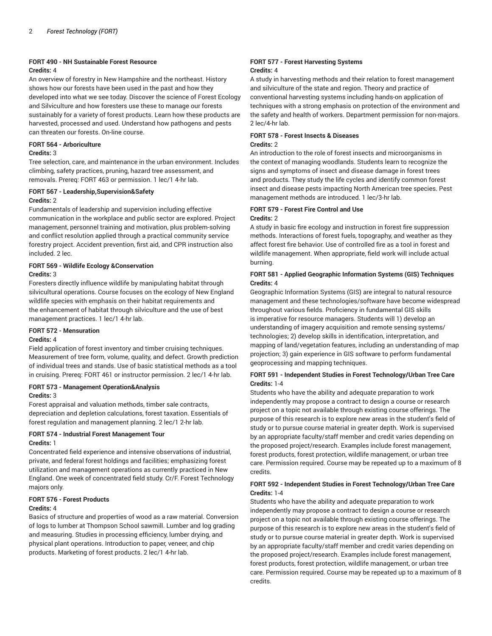### **FORT 490 - NH Sustainable Forest Resource**

#### **Credits:** 4

An overview of forestry in New Hampshire and the northeast. History shows how our forests have been used in the past and how they developed into what we see today. Discover the science of Forest Ecology and Silviculture and how foresters use these to manage our forests sustainably for a variety of forest products. Learn how these products are harvested, processed and used. Understand how pathogens and pests can threaten our forests. On-line course.

### **FORT 564 - Arboriculture**

#### **Credits:** 3

Tree selection, care, and maintenance in the urban environment. Includes climbing, safety practices, pruning, hazard tree assessment, and removals. Prereq: FORT 463 or permission. 1 lec/1 4-hr lab.

#### **FORT 567 - Leadership,Supervision&Safety Credits:** 2

Fundamentals of leadership and supervision including effective communication in the workplace and public sector are explored. Project management, personnel training and motivation, plus problem-solving and conflict resolution applied through a practical community service forestry project. Accident prevention, first aid, and CPR instruction also included. 2 lec.

#### **FORT 569 - Wildlife Ecology &Conservation Credits:** 3

Foresters directly influence wildlife by manipulating habitat through silvicultural operations. Course focuses on the ecology of New England wildlife species with emphasis on their habitat requirements and the enhancement of habitat through silviculture and the use of best management practices. 1 lec/1 4-hr lab.

#### **FORT 572 - Mensuration**

#### **Credits:** 4

Field application of forest inventory and timber cruising techniques. Measurement of tree form, volume, quality, and defect. Growth prediction of individual trees and stands. Use of basic statistical methods as a tool in cruising. Prereq: FORT 461 or instructor permission. 2 lec/1 4-hr lab.

### **FORT 573 - Management Operation&Analysis**

#### **Credits:** 3

Forest appraisal and valuation methods, timber sale contracts, depreciation and depletion calculations, forest taxation. Essentials of forest regulation and management planning. 2 lec/1 2-hr lab.

#### **FORT 574 - Industrial Forest Management Tour Credits:** 1

Concentrated field experience and intensive observations of industrial, private, and federal forest holdings and facilities; emphasizing forest utilization and management operations as currently practiced in New England. One week of concentrated field study. Cr/F. Forest Technology majors only.

### **FORT 576 - Forest Products**

#### **Credits:** 4

Basics of structure and properties of wood as a raw material. Conversion of logs to lumber at Thompson School sawmill. Lumber and log grading and measuring. Studies in processing efficiency, lumber drying, and physical plant operations. Introduction to paper, veneer, and chip products. Marketing of forest products. 2 lec/1 4-hr lab.

#### **FORT 577 - Forest Harvesting Systems Credits:** 4

A study in harvesting methods and their relation to forest management and silviculture of the state and region. Theory and practice of conventional harvesting systems including hands-on application of techniques with a strong emphasis on protection of the environment and the safety and health of workers. Department permission for non-majors. 2 lec/4-hr lab.

#### **FORT 578 - Forest Insects & Diseases Credits:** 2

An introduction to the role of forest insects and microorganisms in the context of managing woodlands. Students learn to recognize the signs and symptoms of insect and disease damage in forest trees and products. They study the life cycles and identify common forest insect and disease pests impacting North American tree species. Pest management methods are introduced. 1 lec/3-hr lab.

#### **FORT 579 - Forest Fire Control and Use Credits:** 2

A study in basic fire ecology and instruction in forest fire suppression methods. Interactions of forest fuels, topography, and weather as they affect forest fire behavior. Use of controlled fire as a tool in forest and wildlife management. When appropriate, field work will include actual burning.

#### **FORT 581 - Applied Geographic Information Systems (GIS) Techniques Credits:** 4

Geographic Information Systems (GIS) are integral to natural resource management and these technologies/software have become widespread throughout various fields. Proficiency in fundamental GIS skills is imperative for resource managers. Students will 1) develop an understanding of imagery acquisition and remote sensing systems/ technologies; 2) develop skills in identification, interpretation, and mapping of land/vegetation features, including an understanding of map projection; 3) gain experience in GIS software to perform fundamental geoprocessing and mapping techniques.

#### **FORT 591 - Independent Studies in Forest Technology/Urban Tree Care Credits:** 1-4

Students who have the ability and adequate preparation to work independently may propose a contract to design a course or research project on a topic not available through existing course offerings. The purpose of this research is to explore new areas in the student's field of study or to pursue course material in greater depth. Work is supervised by an appropriate faculty/staff member and credit varies depending on the proposed project/research. Examples include forest management, forest products, forest protection, wildlife management, or urban tree care. Permission required. Course may be repeated up to a maximum of 8 credits.

#### **FORT 592 - Independent Studies in Forest Technology/Urban Tree Care Credits:** 1-4

Students who have the ability and adequate preparation to work independently may propose a contract to design a course or research project on a topic not available through existing course offerings. The purpose of this research is to explore new areas in the student's field of study or to pursue course material in greater depth. Work is supervised by an appropriate faculty/staff member and credit varies depending on the proposed project/research. Examples include forest management, forest products, forest protection, wildlife management, or urban tree care. Permission required. Course may be repeated up to a maximum of 8 credits.